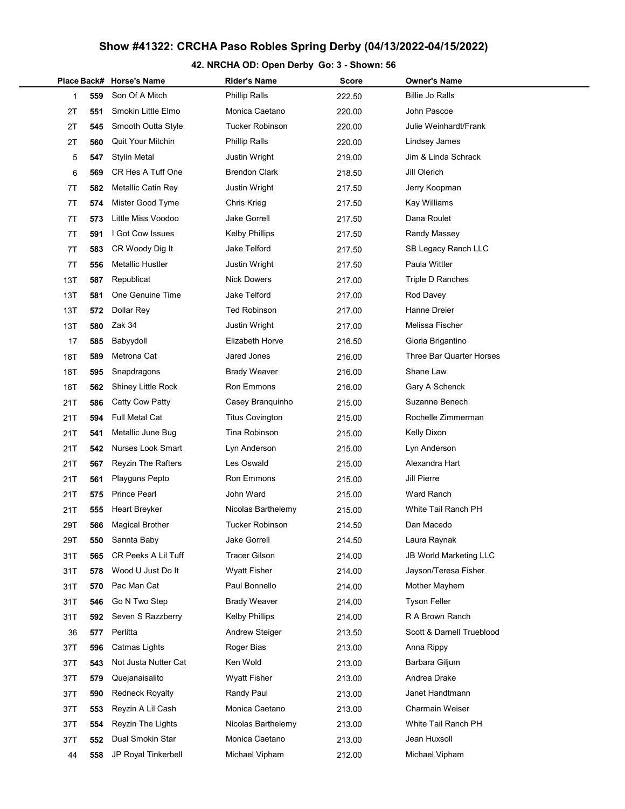# Show #41322: CRCHA Paso Robles Spring Derby (04/13/2022-04/15/2022)

## 42. NRCHA OD: Open Derby Go: 3 - Shown: 56

|     |     | Place Back# Horse's Name  | <b>Rider's Name</b>    | Score  | <b>Owner's Name</b>           |
|-----|-----|---------------------------|------------------------|--------|-------------------------------|
| 1   | 559 | Son Of A Mitch            | <b>Phillip Ralls</b>   | 222.50 | <b>Billie Jo Ralls</b>        |
| 2T  | 551 | Smokin Little Elmo        | Monica Caetano         | 220.00 | John Pascoe                   |
| 2T  | 545 | Smooth Outta Style        | <b>Tucker Robinson</b> | 220.00 | Julie Weinhardt/Frank         |
| 2T  | 560 | <b>Quit Your Mitchin</b>  | <b>Phillip Ralls</b>   | 220.00 | Lindsey James                 |
| 5   | 547 | <b>Stylin Metal</b>       | Justin Wright          | 219.00 | Jim & Linda Schrack           |
| 6   | 569 | CR Hes A Tuff One         | <b>Brendon Clark</b>   | 218.50 | Jill Olerich                  |
| 7T  | 582 | Metallic Catin Rey        | Justin Wright          | 217.50 | Jerry Koopman                 |
| 7T  | 574 | Mister Good Tyme          | Chris Krieg            | 217.50 | Kay Williams                  |
| 7T  | 573 | Little Miss Voodoo        | Jake Gorrell           | 217.50 | Dana Roulet                   |
| 7T  | 591 | I Got Cow Issues          | <b>Kelby Phillips</b>  | 217.50 | Randy Massey                  |
| 7T  | 583 | CR Woody Dig It           | Jake Telford           | 217.50 | SB Legacy Ranch LLC           |
| 7T  | 556 | Metallic Hustler          | Justin Wright          | 217.50 | Paula Wittler                 |
| 13T | 587 | Republicat                | <b>Nick Dowers</b>     | 217.00 | Triple D Ranches              |
| 13T | 581 | One Genuine Time          | <b>Jake Telford</b>    | 217.00 | Rod Davey                     |
| 13T | 572 | Dollar Rey                | <b>Ted Robinson</b>    | 217.00 | Hanne Dreier                  |
| 13T | 580 | Zak 34                    | Justin Wright          | 217.00 | Melissa Fischer               |
| 17  | 585 | Babyydoll                 | <b>Elizabeth Horve</b> | 216.50 | Gloria Brigantino             |
| 18T | 589 | Metrona Cat               | Jared Jones            | 216.00 | Three Bar Quarter Horses      |
| 18T | 595 | Snapdragons               | <b>Brady Weaver</b>    | 216.00 | Shane Law                     |
| 18T | 562 | Shiney Little Rock        | <b>Ron Emmons</b>      | 216.00 | Gary A Schenck                |
| 21T | 586 | Catty Cow Patty           | Casey Branquinho       | 215.00 | Suzanne Benech                |
| 21T | 594 | Full Metal Cat            | <b>Titus Covington</b> | 215.00 | Rochelle Zimmerman            |
| 21T | 541 | Metallic June Bug         | Tina Robinson          | 215.00 | <b>Kelly Dixon</b>            |
| 21T | 542 | Nurses Look Smart         | Lyn Anderson           | 215.00 | Lyn Anderson                  |
| 21T | 567 | <b>Reyzin The Rafters</b> | Les Oswald             | 215.00 | Alexandra Hart                |
| 21T | 561 | Playguns Pepto            | Ron Emmons             | 215.00 | Jill Pierre                   |
| 21T | 575 | <b>Prince Pearl</b>       | John Ward              | 215.00 | Ward Ranch                    |
| 21T | 555 | Heart Breyker             | Nicolas Barthelemy     | 215.00 | White Tail Ranch PH           |
| 29T | 566 | <b>Magical Brother</b>    | <b>Tucker Robinson</b> | 214.50 | Dan Macedo                    |
| 29T | 550 | Sannta Baby               | <b>Jake Gorrell</b>    | 214.50 | Laura Raynak                  |
| 31T | 565 | CR Peeks A Lil Tuff       | <b>Tracer Gilson</b>   | 214.00 | <b>JB World Marketing LLC</b> |
| 31T | 578 | Wood U Just Do It         | <b>Wyatt Fisher</b>    | 214.00 | Jayson/Teresa Fisher          |
| 31T | 570 | Pac Man Cat               | Paul Bonnello          | 214.00 | Mother Mayhem                 |
| 31T | 546 | Go N Two Step             | <b>Brady Weaver</b>    | 214.00 | <b>Tyson Feller</b>           |
| 31T | 592 | Seven S Razzberry         | <b>Kelby Phillips</b>  | 214.00 | R A Brown Ranch               |
| 36  | 577 | Perlitta                  | Andrew Steiger         | 213.50 | Scott & Darnell Trueblood     |
| 37T | 596 | Catmas Lights             | Roger Bias             | 213.00 | Anna Rippy                    |
| 37T | 543 | Not Justa Nutter Cat      | Ken Wold               | 213.00 | Barbara Giljum                |
| 37T | 579 | Quejanaisalito            | <b>Wyatt Fisher</b>    | 213.00 | Andrea Drake                  |
| 37T | 590 | <b>Redneck Royalty</b>    | Randy Paul             | 213.00 | Janet Handtmann               |
| 37T | 553 | Reyzin A Lil Cash         | Monica Caetano         | 213.00 | Charmain Weiser               |
| 37T | 554 | Reyzin The Lights         | Nicolas Barthelemy     | 213.00 | White Tail Ranch PH           |
| 37T | 552 | Dual Smokin Star          | Monica Caetano         | 213.00 | Jean Huxsoll                  |
| 44  | 558 | JP Royal Tinkerbell       | Michael Vipham         | 212.00 | Michael Vipham                |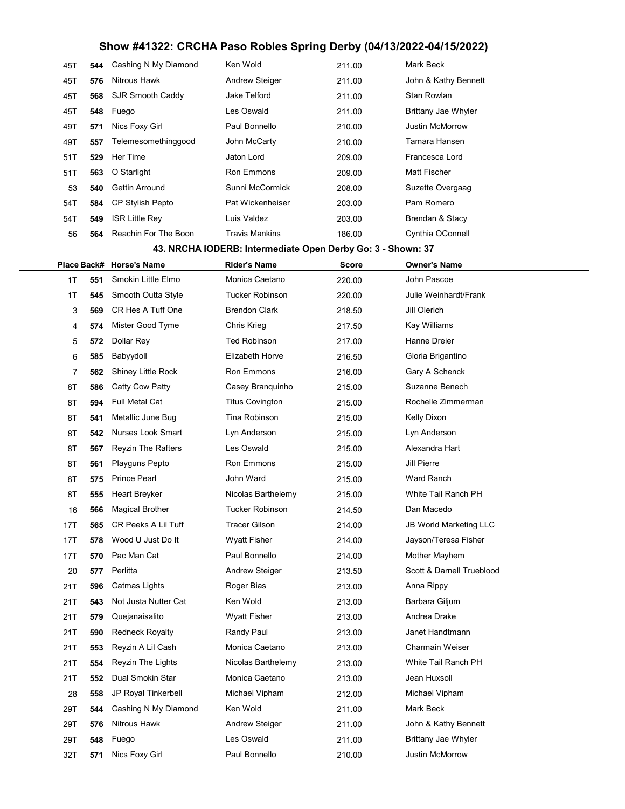# Show #41322: CRCHA Paso Robles Spring Derby (04/13/2022-04/15/2022)

| 45T | 544 | Cashing N My Diamond    | Ken Wold              | 211.00 | Mark Beck                  |
|-----|-----|-------------------------|-----------------------|--------|----------------------------|
| 45T | 576 | Nitrous Hawk            | <b>Andrew Steiger</b> | 211.00 | John & Kathy Bennett       |
| 45T | 568 | SJR Smooth Caddy        | Jake Telford          | 211.00 | Stan Rowlan                |
| 45T | 548 | Fuego                   | Les Oswald            | 211.00 | <b>Brittany Jae Whyler</b> |
| 49T | 571 | Nics Foxy Girl          | Paul Bonnello         | 210.00 | <b>Justin McMorrow</b>     |
| 49T | 557 | Telemesomethinggood     | John McCarty          | 210.00 | Tamara Hansen              |
| 51T | 529 | Her Time                | Jaton Lord            | 209.00 | Francesca Lord             |
| 51T | 563 | O Starlight             | <b>Ron Emmons</b>     | 209.00 | Matt Fischer               |
| 53  | 540 | <b>Gettin Arround</b>   | Sunni McCormick       | 208.00 | Suzette Overgaag           |
| 54T | 584 | <b>CP Stylish Pepto</b> | Pat Wickenheiser      | 203.00 | Pam Romero                 |
| 54T | 549 | <b>ISR Little Rey</b>   | Luis Valdez           | 203.00 | Brendan & Stacy            |
| 56  | 564 | Reachin For The Boon    | <b>Travis Mankins</b> | 186.00 | Cynthia OConnell           |

#### 43. NRCHA IODERB: Intermediate Open Derby Go: 3 - Shown: 37

|     |     | Place Back# Horse's Name  | <b>Rider's Name</b>    | <b>Score</b> | <b>Owner's Name</b>           |
|-----|-----|---------------------------|------------------------|--------------|-------------------------------|
| 1T  | 551 | Smokin Little Elmo        | Monica Caetano         | 220.00       | John Pascoe                   |
| 1T  | 545 | Smooth Outta Style        | <b>Tucker Robinson</b> | 220.00       | Julie Weinhardt/Frank         |
| 3   | 569 | CR Hes A Tuff One         | <b>Brendon Clark</b>   | 218.50       | Jill Olerich                  |
| 4   | 574 | Mister Good Tyme          | Chris Krieg            | 217.50       | Kay Williams                  |
| 5   | 572 | Dollar Rey                | <b>Ted Robinson</b>    | 217.00       | Hanne Dreier                  |
| 6   | 585 | Babyydoll                 | <b>Elizabeth Horve</b> | 216.50       | Gloria Brigantino             |
| 7   | 562 | <b>Shiney Little Rock</b> | Ron Emmons             | 216.00       | Gary A Schenck                |
| 8T  | 586 | Catty Cow Patty           | Casey Branquinho       | 215.00       | Suzanne Benech                |
| 8T  | 594 | <b>Full Metal Cat</b>     | <b>Titus Covington</b> | 215.00       | Rochelle Zimmerman            |
| 8T  | 541 | Metallic June Bug         | Tina Robinson          | 215.00       | Kelly Dixon                   |
| 8T  | 542 | <b>Nurses Look Smart</b>  | Lyn Anderson           | 215.00       | Lyn Anderson                  |
| 8T  | 567 | <b>Reyzin The Rafters</b> | Les Oswald             | 215.00       | Alexandra Hart                |
| 8T  | 561 | Playguns Pepto            | Ron Emmons             | 215.00       | Jill Pierre                   |
| 8T  | 575 | <b>Prince Pearl</b>       | John Ward              | 215.00       | Ward Ranch                    |
| 8T  | 555 | Heart Breyker             | Nicolas Barthelemy     | 215.00       | White Tail Ranch PH           |
| 16  | 566 | <b>Magical Brother</b>    | <b>Tucker Robinson</b> | 214.50       | Dan Macedo                    |
| 17T | 565 | CR Peeks A Lil Tuff       | <b>Tracer Gilson</b>   | 214.00       | <b>JB World Marketing LLC</b> |
| 17T | 578 | Wood U Just Do It         | <b>Wyatt Fisher</b>    | 214.00       | Jayson/Teresa Fisher          |
| 17T | 570 | Pac Man Cat               | Paul Bonnello          | 214.00       | Mother Mayhem                 |
| 20  | 577 | Perlitta                  | <b>Andrew Steiger</b>  | 213.50       | Scott & Darnell Trueblood     |
| 21T | 596 | Catmas Lights             | Roger Bias             | 213.00       | Anna Rippy                    |
| 21T | 543 | Not Justa Nutter Cat      | Ken Wold               | 213.00       | Barbara Giljum                |
| 21T | 579 | Quejanaisalito            | <b>Wyatt Fisher</b>    | 213.00       | Andrea Drake                  |
| 21T | 590 | <b>Redneck Royalty</b>    | Randy Paul             | 213.00       | Janet Handtmann               |
| 21T | 553 | Reyzin A Lil Cash         | Monica Caetano         | 213.00       | <b>Charmain Weiser</b>        |
| 21T | 554 | Reyzin The Lights         | Nicolas Barthelemy     | 213.00       | White Tail Ranch PH           |
| 21T | 552 | Dual Smokin Star          | Monica Caetano         | 213.00       | Jean Huxsoll                  |
| 28  | 558 | JP Royal Tinkerbell       | Michael Vipham         | 212.00       | Michael Vipham                |
| 29T | 544 | Cashing N My Diamond      | Ken Wold               | 211.00       | Mark Beck                     |
| 29T | 576 | Nitrous Hawk              | <b>Andrew Steiger</b>  | 211.00       | John & Kathy Bennett          |
| 29T | 548 | Fuego                     | Les Oswald             | 211.00       | <b>Brittany Jae Whyler</b>    |
| 32T | 571 | Nics Foxy Girl            | Paul Bonnello          | 210.00       | Justin McMorrow               |
|     |     |                           |                        |              |                               |